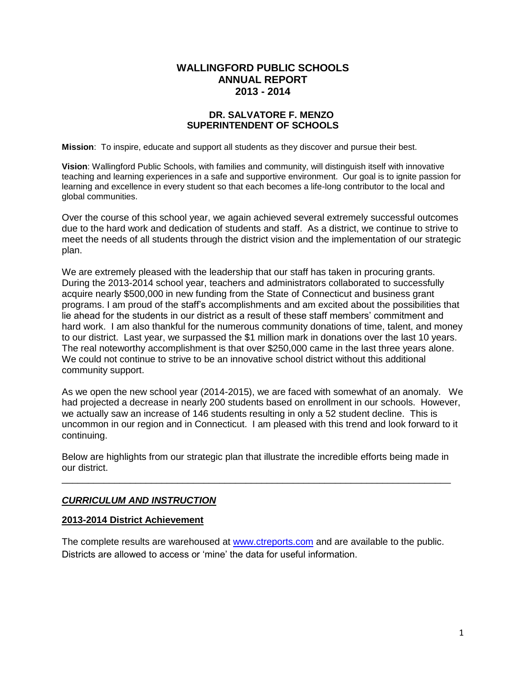#### **WALLINGFORD PUBLIC SCHOOLS ANNUAL REPORT 2013 - 2014**

#### **DR. SALVATORE F. MENZO SUPERINTENDENT OF SCHOOLS**

**Mission**: To inspire, educate and support all students as they discover and pursue their best.

**Vision**: Wallingford Public Schools, with families and community, will distinguish itself with innovative teaching and learning experiences in a safe and supportive environment. Our goal is to ignite passion for learning and excellence in every student so that each becomes a life-long contributor to the local and global communities.

Over the course of this school year, we again achieved several extremely successful outcomes due to the hard work and dedication of students and staff. As a district, we continue to strive to meet the needs of all students through the district vision and the implementation of our strategic plan.

We are extremely pleased with the leadership that our staff has taken in procuring grants. During the 2013-2014 school year, teachers and administrators collaborated to successfully acquire nearly \$500,000 in new funding from the State of Connecticut and business grant programs. I am proud of the staff's accomplishments and am excited about the possibilities that lie ahead for the students in our district as a result of these staff members' commitment and hard work. I am also thankful for the numerous community donations of time, talent, and money to our district. Last year, we surpassed the \$1 million mark in donations over the last 10 years. The real noteworthy accomplishment is that over \$250,000 came in the last three years alone. We could not continue to strive to be an innovative school district without this additional community support.

As we open the new school year (2014-2015), we are faced with somewhat of an anomaly. We had projected a decrease in nearly 200 students based on enrollment in our schools. However, we actually saw an increase of 146 students resulting in only a 52 student decline. This is uncommon in our region and in Connecticut. I am pleased with this trend and look forward to it continuing.

Below are highlights from our strategic plan that illustrate the incredible efforts being made in our district. \_\_\_\_\_\_\_\_\_\_\_\_\_\_\_\_\_\_\_\_\_\_\_\_\_\_\_\_\_\_\_\_\_\_\_\_\_\_\_\_\_\_\_\_\_\_\_\_\_\_\_\_\_\_\_\_\_\_\_\_\_\_\_\_\_\_\_\_\_\_\_\_\_\_

## *CURRICULUM AND INSTRUCTION*

#### **2013-2014 District Achievement**

The complete results are warehoused at www.ctreports.com and are available to the public. Districts are allowed to access or 'mine' the data for useful information.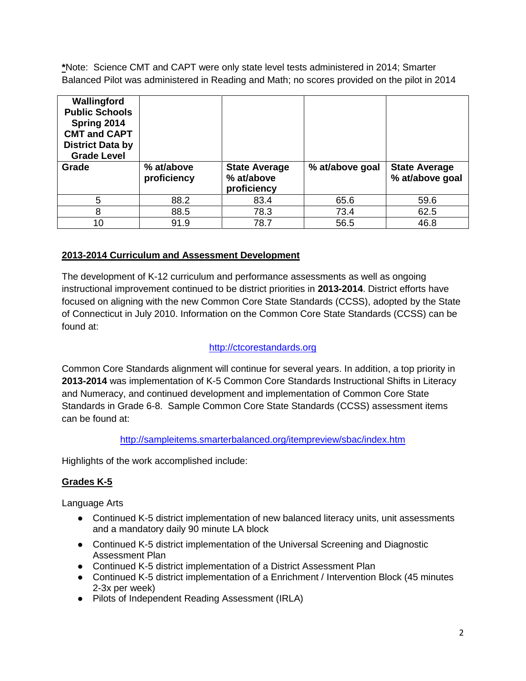**\***Note: Science CMT and CAPT were only state level tests administered in 2014; Smarter Balanced Pilot was administered in Reading and Math; no scores provided on the pilot in 2014

| Wallingford<br><b>Public Schools</b><br>Spring 2014<br><b>CMT and CAPT</b><br><b>District Data by</b><br><b>Grade Level</b> |                           |                                                   |                 |                                         |
|-----------------------------------------------------------------------------------------------------------------------------|---------------------------|---------------------------------------------------|-----------------|-----------------------------------------|
| Grade                                                                                                                       | % at/above<br>proficiency | <b>State Average</b><br>% at/above<br>proficiency | % at/above goal | <b>State Average</b><br>% at/above goal |
| 5                                                                                                                           | 88.2                      | 83.4                                              | 65.6            | 59.6                                    |
| 8                                                                                                                           |                           |                                                   | 73.4            | 62.5                                    |
|                                                                                                                             | 88.5                      | 78.3                                              |                 |                                         |

## **2013-2014 Curriculum and Assessment Development**

The development of K-12 curriculum and performance assessments as well as ongoing instructional improvement continued to be district priorities in **2013-2014**. District efforts have focused on aligning with the new Common Core State Standards (CCSS), adopted by the State of Connecticut in July 2010. Information on the Common Core State Standards (CCSS) can be found at:

## [http://ctcorestandards.org](http://ctcorestandards.org/)

Common Core Standards alignment will continue for several years. In addition, a top priority in **2013-2014** was implementation of K-5 Common Core Standards Instructional Shifts in Literacy and Numeracy, and continued development and implementation of Common Core State Standards in Grade 6-8. Sample Common Core State Standards (CCSS) assessment items can be found at:

## <http://sampleitems.smarterbalanced.org/itempreview/sbac/index.htm>

Highlights of the work accomplished include:

## **Grades K-5**

Language Arts

- Continued K-5 district implementation of new balanced literacy units, unit assessments and a mandatory daily 90 minute LA block
- Continued K-5 district implementation of the Universal Screening and Diagnostic Assessment Plan
- Continued K-5 district implementation of a District Assessment Plan
- Continued K-5 district implementation of a Enrichment / Intervention Block (45 minutes 2-3x per week)
- Pilots of Independent Reading Assessment (IRLA)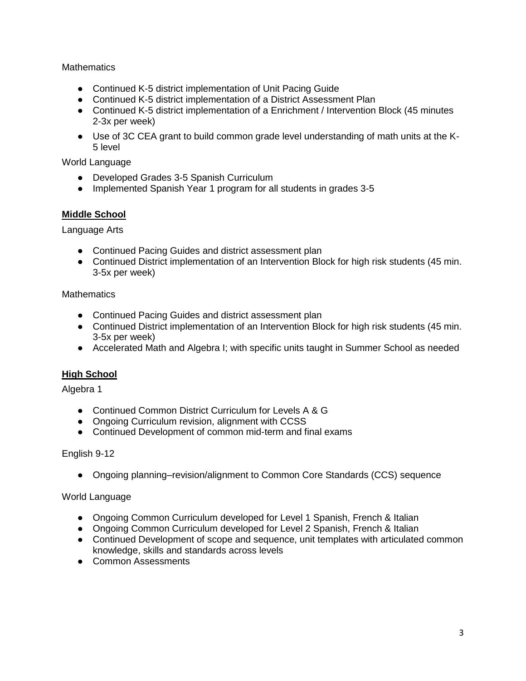#### **Mathematics**

- Continued K-5 district implementation of Unit Pacing Guide
- Continued K-5 district implementation of a District Assessment Plan
- Continued K-5 district implementation of a Enrichment / Intervention Block (45 minutes 2-3x per week)
- Use of 3C CEA grant to build common grade level understanding of math units at the K-5 level

#### World Language

- Developed Grades 3-5 Spanish Curriculum
- Implemented Spanish Year 1 program for all students in grades 3-5

#### **Middle School**

Language Arts

- Continued Pacing Guides and district assessment plan
- Continued District implementation of an Intervention Block for high risk students (45 min. 3-5x per week)

## **Mathematics**

- Continued Pacing Guides and district assessment plan
- Continued District implementation of an Intervention Block for high risk students (45 min. 3-5x per week)
- Accelerated Math and Algebra I; with specific units taught in Summer School as needed

## **High School**

Algebra 1

- Continued Common District Curriculum for Levels A & G
- Ongoing Curriculum revision, alignment with CCSS
- Continued Development of common mid-term and final exams

#### English 9-12

● Ongoing planning–revision/alignment to Common Core Standards (CCS) sequence

## World Language

- Ongoing Common Curriculum developed for Level 1 Spanish, French & Italian
- Ongoing Common Curriculum developed for Level 2 Spanish, French & Italian
- Continued Development of scope and sequence, unit templates with articulated common knowledge, skills and standards across levels
- Common Assessments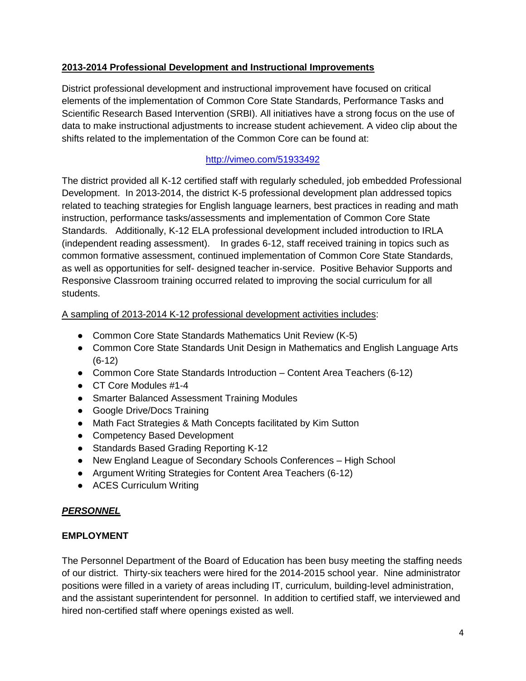## **2013-2014 Professional Development and Instructional Improvements**

District professional development and instructional improvement have focused on critical elements of the implementation of Common Core State Standards, Performance Tasks and Scientific Research Based Intervention (SRBI). All initiatives have a strong focus on the use of data to make instructional adjustments to increase student achievement. A video clip about the shifts related to the implementation of the Common Core can be found at:

# <http://vimeo.com/51933492>

The district provided all K-12 certified staff with regularly scheduled, job embedded Professional Development. In 2013-2014, the district K-5 professional development plan addressed topics related to teaching strategies for English language learners, best practices in reading and math instruction, performance tasks/assessments and implementation of Common Core State Standards. Additionally, K-12 ELA professional development included introduction to IRLA (independent reading assessment). In grades 6-12, staff received training in topics such as common formative assessment, continued implementation of Common Core State Standards, as well as opportunities for self- designed teacher in-service. Positive Behavior Supports and Responsive Classroom training occurred related to improving the social curriculum for all students.

## A sampling of 2013-2014 K-12 professional development activities includes:

- Common Core State Standards Mathematics Unit Review (K-5)
- Common Core State Standards Unit Design in Mathematics and English Language Arts (6-12)
- Common Core State Standards Introduction Content Area Teachers (6-12)
- CT Core Modules #1-4
- Smarter Balanced Assessment Training Modules
- Google Drive/Docs Training
- Math Fact Strategies & Math Concepts facilitated by Kim Sutton
- Competency Based Development
- Standards Based Grading Reporting K-12
- New England League of Secondary Schools Conferences High School
- Argument Writing Strategies for Content Area Teachers (6-12)
- ACES Curriculum Writing

## *PERSONNEL*

## **EMPLOYMENT**

The Personnel Department of the Board of Education has been busy meeting the staffing needs of our district. Thirty-six teachers were hired for the 2014-2015 school year. Nine administrator positions were filled in a variety of areas including IT, curriculum, building-level administration, and the assistant superintendent for personnel. In addition to certified staff, we interviewed and hired non-certified staff where openings existed as well.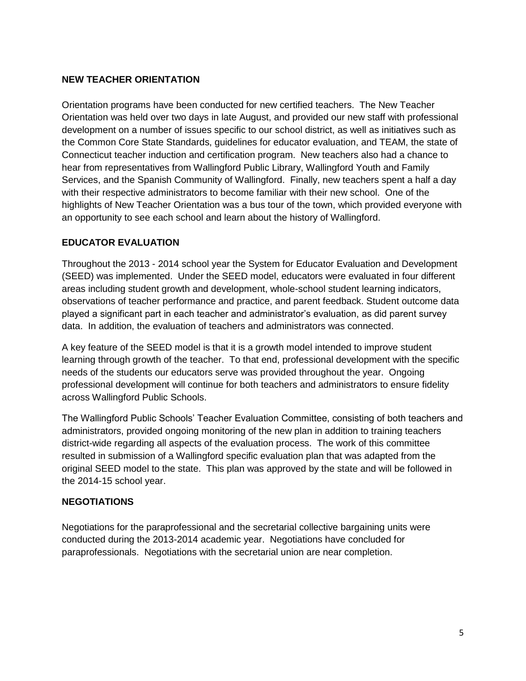## **NEW TEACHER ORIENTATION**

Orientation programs have been conducted for new certified teachers. The New Teacher Orientation was held over two days in late August, and provided our new staff with professional development on a number of issues specific to our school district, as well as initiatives such as the Common Core State Standards, guidelines for educator evaluation, and TEAM, the state of Connecticut teacher induction and certification program. New teachers also had a chance to hear from representatives from Wallingford Public Library, Wallingford Youth and Family Services, and the Spanish Community of Wallingford. Finally, new teachers spent a half a day with their respective administrators to become familiar with their new school. One of the highlights of New Teacher Orientation was a bus tour of the town, which provided everyone with an opportunity to see each school and learn about the history of Wallingford.

#### **EDUCATOR EVALUATION**

Throughout the 2013 - 2014 school year the System for Educator Evaluation and Development (SEED) was implemented. Under the SEED model, educators were evaluated in four different areas including student growth and development, whole-school student learning indicators, observations of teacher performance and practice, and parent feedback. Student outcome data played a significant part in each teacher and administrator's evaluation, as did parent survey data. In addition, the evaluation of teachers and administrators was connected.

A key feature of the SEED model is that it is a growth model intended to improve student learning through growth of the teacher. To that end, professional development with the specific needs of the students our educators serve was provided throughout the year. Ongoing professional development will continue for both teachers and administrators to ensure fidelity across Wallingford Public Schools.

The Wallingford Public Schools' Teacher Evaluation Committee, consisting of both teachers and administrators, provided ongoing monitoring of the new plan in addition to training teachers district-wide regarding all aspects of the evaluation process. The work of this committee resulted in submission of a Wallingford specific evaluation plan that was adapted from the original SEED model to the state. This plan was approved by the state and will be followed in the 2014-15 school year.

#### **NEGOTIATIONS**

Negotiations for the paraprofessional and the secretarial collective bargaining units were conducted during the 2013-2014 academic year. Negotiations have concluded for paraprofessionals. Negotiations with the secretarial union are near completion.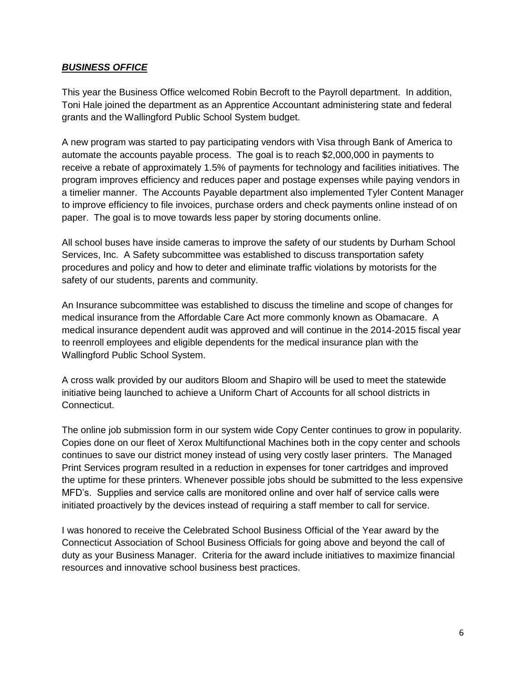#### *BUSINESS OFFICE*

This year the Business Office welcomed Robin Becroft to the Payroll department. In addition, Toni Hale joined the department as an Apprentice Accountant administering state and federal grants and the Wallingford Public School System budget.

A new program was started to pay participating vendors with Visa through Bank of America to automate the accounts payable process. The goal is to reach \$2,000,000 in payments to receive a rebate of approximately 1.5% of payments for technology and facilities initiatives. The program improves efficiency and reduces paper and postage expenses while paying vendors in a timelier manner. The Accounts Payable department also implemented Tyler Content Manager to improve efficiency to file invoices, purchase orders and check payments online instead of on paper. The goal is to move towards less paper by storing documents online.

All school buses have inside cameras to improve the safety of our students by Durham School Services, Inc. A Safety subcommittee was established to discuss transportation safety procedures and policy and how to deter and eliminate traffic violations by motorists for the safety of our students, parents and community.

An Insurance subcommittee was established to discuss the timeline and scope of changes for medical insurance from the Affordable Care Act more commonly known as Obamacare. A medical insurance dependent audit was approved and will continue in the 2014-2015 fiscal year to reenroll employees and eligible dependents for the medical insurance plan with the Wallingford Public School System.

A cross walk provided by our auditors Bloom and Shapiro will be used to meet the statewide initiative being launched to achieve a Uniform Chart of Accounts for all school districts in Connecticut.

The online job submission form in our system wide Copy Center continues to grow in popularity. Copies done on our fleet of Xerox Multifunctional Machines both in the copy center and schools continues to save our district money instead of using very costly laser printers. The Managed Print Services program resulted in a reduction in expenses for toner cartridges and improved the uptime for these printers. Whenever possible jobs should be submitted to the less expensive MFD's. Supplies and service calls are monitored online and over half of service calls were initiated proactively by the devices instead of requiring a staff member to call for service.

I was honored to receive the Celebrated School Business Official of the Year award by the Connecticut Association of School Business Officials for going above and beyond the call of duty as your Business Manager. Criteria for the award include initiatives to maximize financial resources and innovative school business best practices.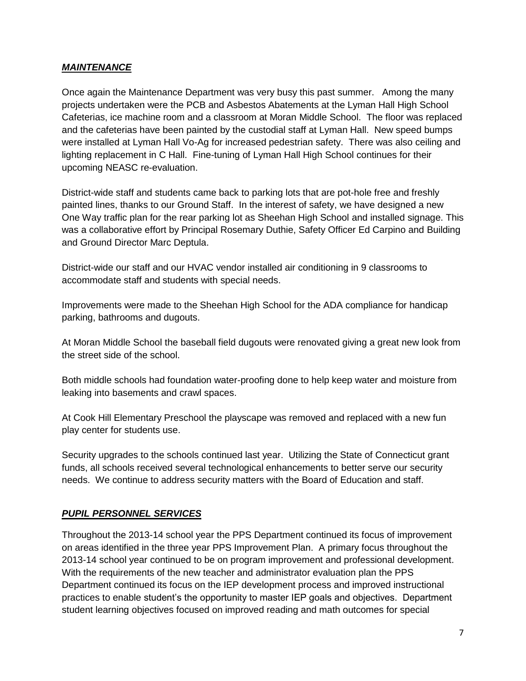## *MAINTENANCE*

Once again the Maintenance Department was very busy this past summer. Among the many projects undertaken were the PCB and Asbestos Abatements at the Lyman Hall High School Cafeterias, ice machine room and a classroom at Moran Middle School. The floor was replaced and the cafeterias have been painted by the custodial staff at Lyman Hall. New speed bumps were installed at Lyman Hall Vo-Ag for increased pedestrian safety. There was also ceiling and lighting replacement in C Hall. Fine-tuning of Lyman Hall High School continues for their upcoming NEASC re-evaluation.

District-wide staff and students came back to parking lots that are pot-hole free and freshly painted lines, thanks to our Ground Staff. In the interest of safety, we have designed a new One Way traffic plan for the rear parking lot as Sheehan High School and installed signage. This was a collaborative effort by Principal Rosemary Duthie, Safety Officer Ed Carpino and Building and Ground Director Marc Deptula.

District-wide our staff and our HVAC vendor installed air conditioning in 9 classrooms to accommodate staff and students with special needs.

Improvements were made to the Sheehan High School for the ADA compliance for handicap parking, bathrooms and dugouts.

At Moran Middle School the baseball field dugouts were renovated giving a great new look from the street side of the school.

Both middle schools had foundation water-proofing done to help keep water and moisture from leaking into basements and crawl spaces.

At Cook Hill Elementary Preschool the playscape was removed and replaced with a new fun play center for students use.

Security upgrades to the schools continued last year. Utilizing the State of Connecticut grant funds, all schools received several technological enhancements to better serve our security needs. We continue to address security matters with the Board of Education and staff.

#### *PUPIL PERSONNEL SERVICES*

Throughout the 2013-14 school year the PPS Department continued its focus of improvement on areas identified in the three year PPS Improvement Plan. A primary focus throughout the 2013-14 school year continued to be on program improvement and professional development. With the requirements of the new teacher and administrator evaluation plan the PPS Department continued its focus on the IEP development process and improved instructional practices to enable student's the opportunity to master IEP goals and objectives. Department student learning objectives focused on improved reading and math outcomes for special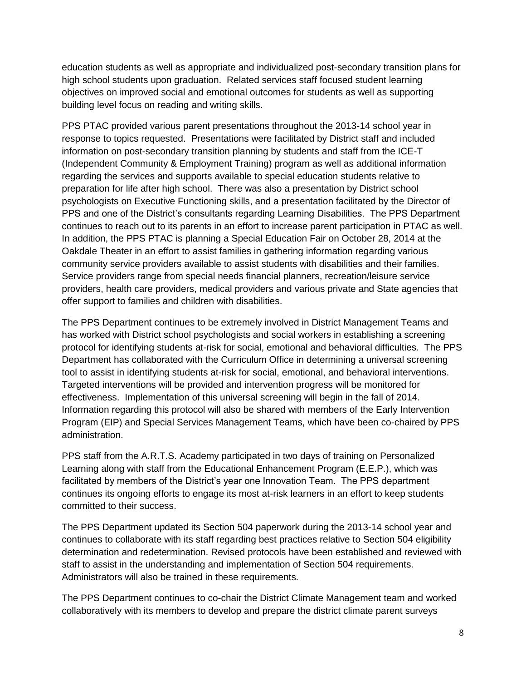education students as well as appropriate and individualized post-secondary transition plans for high school students upon graduation. Related services staff focused student learning objectives on improved social and emotional outcomes for students as well as supporting building level focus on reading and writing skills.

PPS PTAC provided various parent presentations throughout the 2013-14 school year in response to topics requested. Presentations were facilitated by District staff and included information on post-secondary transition planning by students and staff from the ICE-T (Independent Community & Employment Training) program as well as additional information regarding the services and supports available to special education students relative to preparation for life after high school. There was also a presentation by District school psychologists on Executive Functioning skills, and a presentation facilitated by the Director of PPS and one of the District's consultants regarding Learning Disabilities. The PPS Department continues to reach out to its parents in an effort to increase parent participation in PTAC as well. In addition, the PPS PTAC is planning a Special Education Fair on October 28, 2014 at the Oakdale Theater in an effort to assist families in gathering information regarding various community service providers available to assist students with disabilities and their families. Service providers range from special needs financial planners, recreation/leisure service providers, health care providers, medical providers and various private and State agencies that offer support to families and children with disabilities.

The PPS Department continues to be extremely involved in District Management Teams and has worked with District school psychologists and social workers in establishing a screening protocol for identifying students at-risk for social, emotional and behavioral difficulties. The PPS Department has collaborated with the Curriculum Office in determining a universal screening tool to assist in identifying students at-risk for social, emotional, and behavioral interventions. Targeted interventions will be provided and intervention progress will be monitored for effectiveness. Implementation of this universal screening will begin in the fall of 2014. Information regarding this protocol will also be shared with members of the Early Intervention Program (EIP) and Special Services Management Teams, which have been co-chaired by PPS administration.

PPS staff from the A.R.T.S. Academy participated in two days of training on Personalized Learning along with staff from the Educational Enhancement Program (E.E.P.), which was facilitated by members of the District's year one Innovation Team. The PPS department continues its ongoing efforts to engage its most at-risk learners in an effort to keep students committed to their success.

The PPS Department updated its Section 504 paperwork during the 2013-14 school year and continues to collaborate with its staff regarding best practices relative to Section 504 eligibility determination and redetermination. Revised protocols have been established and reviewed with staff to assist in the understanding and implementation of Section 504 requirements. Administrators will also be trained in these requirements.

The PPS Department continues to co-chair the District Climate Management team and worked collaboratively with its members to develop and prepare the district climate parent surveys